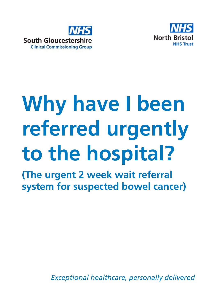



# **Why have I been referred urgently to the hospital?**

**(The urgent 2 week wait referral system for suspected bowel cancer)**

*Exceptional healthcare, personally delivered*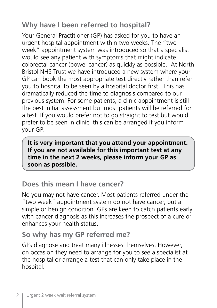# **Why have I been referred to hospital?**

Your General Practitioner (GP) has asked for you to have an urgent hospital appointment within two weeks. The "two week" appointment system was introduced so that a specialist would see any patient with symptoms that might indicate colorectal cancer (bowel cancer) as quickly as possible. At North Bristol NHS Trust we have introduced a new system where your GP can book the most appropriate test directly rather than refer you to hospital to be seen by a hospital doctor first. This has dramatically reduced the time to diagnosis compared to our previous system. For some patients, a clinic appointment is still the best initial assessment but most patients will be referred for a test. If you would prefer not to go straight to test but would prefer to be seen in clinic, this can be arranged if you inform your GP.

**It is very important that you attend your appointment. If you are not available for this important test at any time in the next 2 weeks, please inform your GP as soon as possible.**

# **Does this mean I have cancer?**

No you may not have cancer. Most patients referred under the "two week" appointment system do not have cancer, but a simple or benign condition. GPs are keen to catch patients early with cancer diagnosis as this increases the prospect of a cure or enhances your health status.

## **So why has my GP referred me?**

GPs diagnose and treat many illnesses themselves. However, on occasion they need to arrange for you to see a specialist at the hospital or arrange a test that can only take place in the hospital.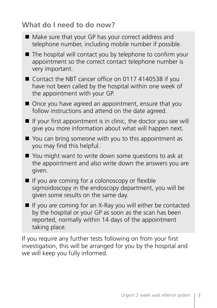# **What do I need to do now?**

we will keep you fully informed.

| ■ Make sure that your GP has your correct address and<br>telephone number, including mobile number if possible.                                                                                 |
|-------------------------------------------------------------------------------------------------------------------------------------------------------------------------------------------------|
| The hospital will contact you by telephone to confirm your<br>appointment so the correct contact telephone number is<br>very important.                                                         |
| Contact the NBT cancer office on 0117 4140538 if you<br>have not been called by the hospital within one week of<br>the appointment with your GP.                                                |
| ■ Once you have agreed an appointment, ensure that you<br>follow instructions and attend on the date agreed.                                                                                    |
| If your first appointment is in clinic, the doctor you see will<br>give you more information about what will happen next.                                                                       |
| ■ You can bring someone with you to this appointment as<br>you may find this helpful.                                                                                                           |
| You might want to write down some questions to ask at<br>the appointment and also write down the answers you are<br>given.                                                                      |
| If you are coming for a colonoscopy or flexible<br>sigmoidoscopy in the endoscopy department, you will be<br>given some results on the same day.                                                |
| If you are coming for an X-Ray you will either be contacted<br>by the hospital or your GP as soon as the scan has been<br>reported, normally within 14 days of the appointment<br>taking place. |
| If you require any further tests following on from your first<br>investigation, this will be arranged for you by the hospital and                                                               |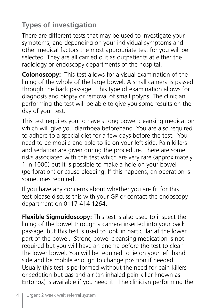# **Types of investigation**

There are different tests that may be used to investigate your symptoms, and depending on your individual symptoms and other medical factors the most appropriate test for you will be selected. They are all carried out as outpatients at either the radiology or endoscopy departments of the hospital.

**Colonoscopy:** This test allows for a visual examination of the lining of the whole of the large bowel. A small camera is passed through the back passage. This type of examination allows for diagnosis and biopsy or removal of small polyps. The clinician performing the test will be able to give you some results on the day of your test.

This test requires you to have strong bowel cleansing medication which will give you diarrhoea beforehand. You are also required to adhere to a special diet for a few days before the test. You need to be mobile and able to lie on your left side. Pain killers and sedation are given during the procedure. There are some risks associated with this test which are very rare (approximately 1 in 1000) but it is possible to make a hole on your bowel (perforation) or cause bleeding. If this happens, an operation is sometimes required.

If you have any concerns about whether you are fit for this test please discuss this with your GP or contact the endoscopy department on 0117 414 1264.

**Flexible Sigmoidoscopy:** This test is also used to inspect the lining of the bowel through a camera inserted into your back passage, but this test is used to look in particular at the lower part of the bowel. Strong bowel cleansing medication is not required but you will have an enema before the test to clean the lower bowel. You will be required to lie on your left hand side and be mobile enough to change position if needed. Usually this test is performed without the need for pain killers or sedation but gas and air (an inhaled pain killer known as Entonox) is available if you need it. The clinician performing the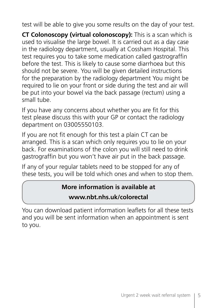test will be able to give you some results on the day of your test.

**CT Colonoscopy (virtual colonoscopy):** This is a scan which is used to visualise the large bowel. It is carried out as a day case in the radiology department, usually at Cossham Hospital. This test requires you to take some medication called gastrograffin before the test. This is likely to cause some diarrhoea but this should not be severe. You will be given detailed instructions for the preparation by the radiology department You might be required to lie on your front or side during the test and air will be put into your bowel via the back passage (rectum) using a small tube.

If you have any concerns about whether you are fit for this test please discuss this with your GP or contact the radiology department on 03005550103.

If you are not fit enough for this test a plain CT can be arranged. This is a scan which only requires you to lie on your back. For examinations of the colon you will still need to drink gastrograffin but you won't have air put in the back passage.

If any of your regular tablets need to be stopped for any of these tests, you will be told which ones and when to stop them.

#### **More information is available at**

#### **www.nbt.nhs.uk/colorectal**

You can download patient information leaflets for all these tests and you will be sent information when an appointment is sent to you.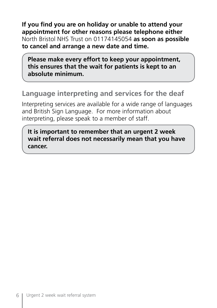**If you find you are on holiday or unable to attend your appointment for other reasons please telephone either**  North Bristol NHS Trust on 01174145054 **as soon as possible to cancel and arrange a new date and time.**

**Please make every effort to keep your appointment, this ensures that the wait for patients is kept to an absolute minimum.**

### **Language interpreting and services for the deaf**

Interpreting services are available for a wide range of languages and British Sign Language. For more information about interpreting, please speak to a member of staff.

**It is important to remember that an urgent 2 week wait referral does not necessarily mean that you have cancer.**